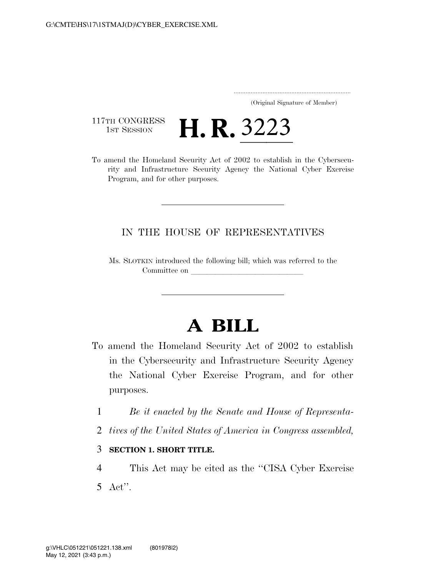..................................................................... (Original Signature of Member)

117TH CONGRESS<br>1st Session

117TH CONGRESS<br>
1st SESSION **H. R. 3223**<br>
3223<br>
3002 to establish in the Cybersecurity and Infrastructure Security Agency the National Cyber Exercise Program, and for other purposes.

## IN THE HOUSE OF REPRESENTATIVES

Ms. SLOTKIN introduced the following bill; which was referred to the Committee on

## **A BILL**

- To amend the Homeland Security Act of 2002 to establish in the Cybersecurity and Infrastructure Security Agency the National Cyber Exercise Program, and for other purposes.
	- 1 *Be it enacted by the Senate and House of Representa-*
	- 2 *tives of the United States of America in Congress assembled,*

## 3 **SECTION 1. SHORT TITLE.**

4 This Act may be cited as the ''CISA Cyber Exercise 5 Act''.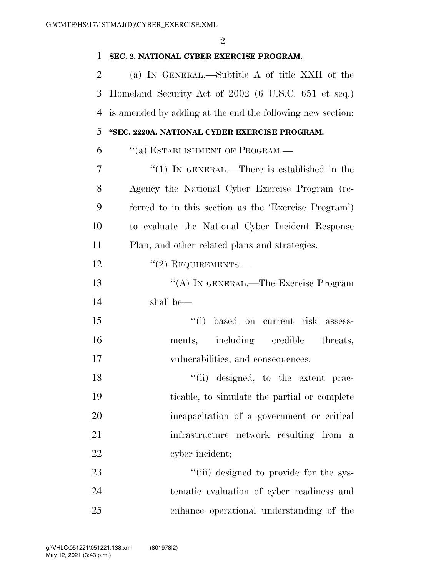| $\mathbf{1}$ | SEC. 2. NATIONAL CYBER EXERCISE PROGRAM.                   |
|--------------|------------------------------------------------------------|
| 2            | (a) IN GENERAL.—Subtitle A of title XXII of the            |
| 3            | Homeland Security Act of 2002 (6 U.S.C. 651 et seq.)       |
| 4            | is amended by adding at the end the following new section: |
| 5            | "SEC. 2220A. NATIONAL CYBER EXERCISE PROGRAM.              |
| 6            | "(a) ESTABLISHMENT OF PROGRAM.—                            |
| 7            | "(1) IN GENERAL.—There is established in the               |
| 8            | Agency the National Cyber Exercise Program (re-            |
| 9            | ferred to in this section as the 'Exercise Program')       |
| 10           | to evaluate the National Cyber Incident Response           |
| 11           | Plan, and other related plans and strategies.              |
| 12           | $"(2)$ REQUIREMENTS.—                                      |
| 13           | "(A) IN GENERAL.—The Exercise Program                      |
| 14           | shall be—                                                  |
| 15           | "(i) based on current risk assess-                         |
| 16           | ments, including credible<br>threats,                      |
| 17           | vulnerabilities, and consequences;                         |
| 18           | "(ii) designed, to the extent prac-                        |
| 19           | ticable, to simulate the partial or complete               |
| 20           | incapacitation of a government or critical                 |
| 21           | infrastructure network resulting from a                    |
| 22           | cyber incident;                                            |
| 23           | "(iii) designed to provide for the sys-                    |
| 24           | tematic evaluation of cyber readiness and                  |
| 25           | enhance operational understanding of the                   |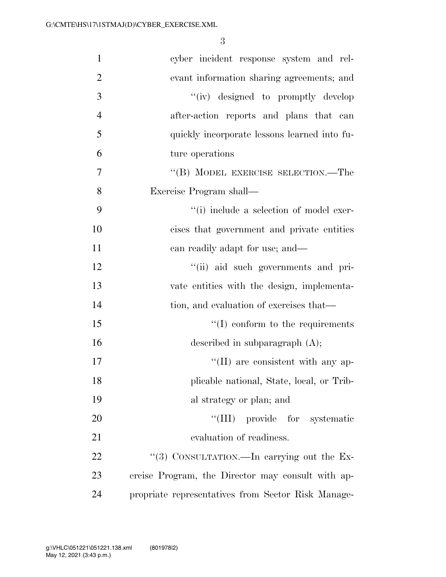3

| $\mathbf{1}$   | cyber incident response system and rel-            |
|----------------|----------------------------------------------------|
| $\overline{2}$ | evant information sharing agreements; and          |
| 3              | "(iv) designed to promptly develop                 |
| $\overline{4}$ | after-action reports and plans that can            |
| 5              | quickly incorporate lessons learned into fu-       |
| 6              | ture operations                                    |
| 7              | "(B) MODEL EXERCISE SELECTION.—The                 |
| 8              | Exercise Program shall—                            |
| 9              | "(i) include a selection of model exer-            |
| 10             | cises that government and private entities         |
| 11             | can readily adapt for use; and—                    |
| 12             | "(ii) aid such governments and pri-                |
| 13             | vate entities with the design, implementa-         |
| 14             | tion, and evaluation of exercises that—            |
| 15             | $\lq\lq$ conform to the requirements               |
| 16             | described in subparagraph $(A)$ ;                  |
| 17             | $\lq\lq$ (II) are consistent with any ap-          |
| 18             | plicable national, State, local, or Trib-          |
| 19             | al strategy or plan; and                           |
| 20             | "(III) provide for systematic                      |
| 21             | evaluation of readiness.                           |
| 22             | "(3) CONSULTATION.—In carrying out the Ex-         |
| 23             | ercise Program, the Director may consult with ap-  |
| 24             | propriate representatives from Sector Risk Manage- |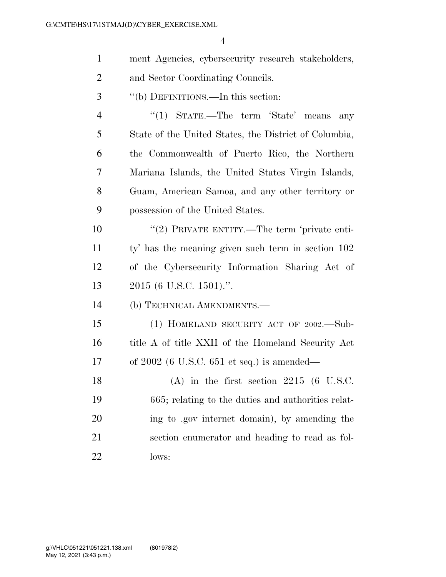|                | $\overline{4}$                                        |
|----------------|-------------------------------------------------------|
| $\mathbf{1}$   | ment Agencies, cybersecurity research stakeholders,   |
| $\overline{2}$ | and Sector Coordinating Councils.                     |
| 3              | "(b) DEFINITIONS.—In this section:                    |
| $\overline{4}$ | "(1) STATE.—The term 'State' means<br>any             |
| 5              | State of the United States, the District of Columbia, |
| 6              | the Commonwealth of Puerto Rico, the Northern         |
| 7              | Mariana Islands, the United States Virgin Islands,    |
| 8              | Guam, American Samoa, and any other territory or      |
| 9              | possession of the United States.                      |
| 10             | "(2) PRIVATE ENTITY.—The term 'private enti-          |
| 11             | ty' has the meaning given such term in section 102    |
| 12             | of the Cybersecurity Information Sharing Act of       |
| 13             | $2015$ (6 U.S.C. 1501).".                             |
| 14             | (b) TECHNICAL AMENDMENTS.—                            |
| 15             | (1) HOMELAND SECURITY ACT OF 2002.—Sub-               |
| 16             | title A of title XXII of the Homeland Security Act    |
| 17             | of $2002$ (6 U.S.C. 651 et seq.) is amended—          |
| 18             | $(A)$ in the first section 2215 (6 U.S.C.             |
| 19             | 665; relating to the duties and authorities relat-    |
| 20             | ing to gov internet domain), by amending the          |
| 21             | section enumerator and heading to read as fol-        |
| 22             | lows:                                                 |
|                |                                                       |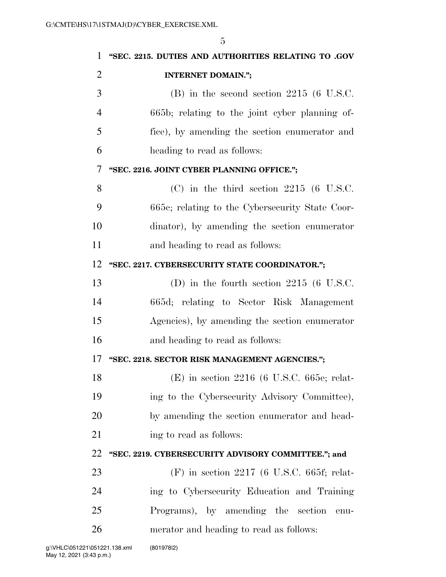| 1              | "SEC. 2215. DUTIES AND AUTHORITIES RELATING TO .GOV |
|----------------|-----------------------------------------------------|
| $\overline{2}$ | <b>INTERNET DOMAIN.";</b>                           |
| 3              | $(B)$ in the second section 2215 (6 U.S.C.          |
| $\overline{4}$ | 665b; relating to the joint cyber planning of-      |
| 5              | fice), by amending the section enumerator and       |
| 6              | heading to read as follows:                         |
| 7              | "SEC. 2216. JOINT CYBER PLANNING OFFICE.";          |
| 8              | $(C)$ in the third section 2215 (6 U.S.C.           |
| 9              | 665c; relating to the Cybersecurity State Coor-     |
| 10             | dinator), by amending the section enumerator        |
| 11             | and heading to read as follows:                     |
| 12             | "SEC. 2217. CYBERSECURITY STATE COORDINATOR.";      |
| 13             | (D) in the fourth section $2215$ (6 U.S.C.          |
| 14             | 665d; relating to Sector Risk Management            |
| 15             | Agencies), by amending the section enumerator       |
| 16             | and heading to read as follows:                     |
| 17             | "SEC. 2218. SECTOR RISK MANAGEMENT AGENCIES.";      |
| 18             | $(E)$ in section 2216 (6 U.S.C. 665e; relat-        |
| 19             | ing to the Cybersecurity Advisory Committee),       |
| 20             | by amending the section enumerator and head-        |
| 21             | ing to read as follows:                             |
| 22             | "SEC. 2219. CYBERSECURITY ADVISORY COMMITTEE."; and |
| 23             | $(F)$ in section 2217 (6 U.S.C. 665f; relat-        |
| 24             | ing to Cybersecurity Education and Training         |
| 25             | Programs), by amending the section<br>enu-          |
| 26             | merator and heading to read as follows:             |